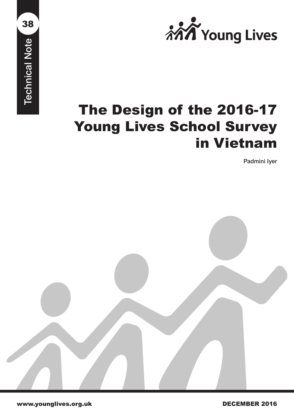

# The Design of the 2016-17 Young Lives School Survey in Vietnam The Design of the 2016-17<br>
Young Lives School Survey<br>
in Vietnam<br>
Padminiscroped<br>
Maximum Property and December 2016

Padmini Iyer

38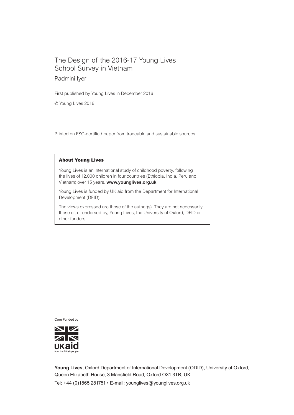## The Design of the 2016-17 Young Lives School Survey in Vietnam

Padmini Iyer

First published by Young Lives in December 2016

© Young Lives 2016

Printed on FSC-certified paper from traceable and sustainable sources.

#### About Young Lives

Young Lives is an international study of childhood poverty, following the lives of 12,000 children in four countries (Ethiopia, India, Peru and Vietnam) over 15 years. **www.younglives.org.uk**

Young Lives is funded by UK aid from the Department for International Development (DFID).

The views expressed are those of the author(s). They are not necessarily those of, or endorsed by, Young Lives, the University of Oxford, DFID or other funders.

Core Funded by



**Young Lives**, Oxford Department of International Development (ODID), University of Oxford, Queen Elizabeth House, 3 Mansfield Road, Oxford OX1 3TB, UK Tel: +44 (0)1865 281751 • E-mail: younglives@younglives.org.uk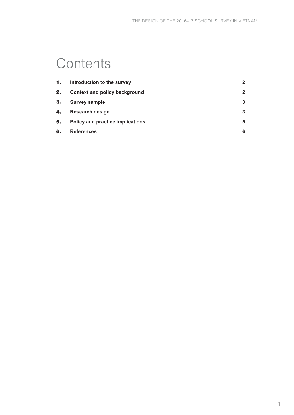# **Contents**

| 1. | Introduction to the survey           | $\mathbf{2}$ |
|----|--------------------------------------|--------------|
| 2. | <b>Context and policy background</b> | $\mathbf{2}$ |
| З. | <b>Survey sample</b>                 | 3            |
| 4. | Research design                      | 3            |
| 5. | Policy and practice implications     | 5            |
| 6. | <b>References</b>                    | 6            |
|    |                                      |              |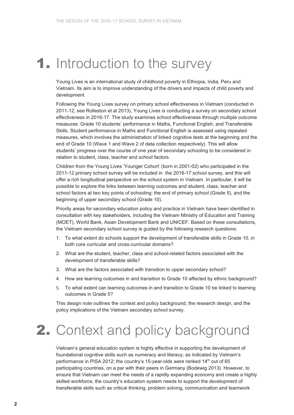# **1.** Introduction to the survey

Young Lives is an international study of childhood poverty in Ethiopia, India, Peru and Vietnam. Its aim is to improve understanding of the drivers and impacts of child poverty and development.

Following the Young Lives survey on primary school effectiveness in Vietnam (conducted in 2011-12; see Rolleston et al 2013), Young Lives is conducting a survey on secondary school effectiveness in 2016-17. The study examines school effectiveness through multiple outcome measures: Grade 10 students' performance in Maths, Functional English, and Transferable Skills. Student performance in Maths and Functional English is assessed using repeated measures, which involves the administration of linked cognitive tests at the beginning and the end of Grade 10 (Wave 1 and Wave 2 of data collection respectively). This will allow students' progress over the course of one year of secondary schooling to be considered in relation to student, class, teacher and school factors.

Children from the Young Lives 'Younger Cohort' (born in 2001-02) who participated in the 2011-12 primary school survey will be included in the 2016-17 school survey, and this will offer a rich longitudinal perspective on the school system in Vietnam. In particular, it will be possible to explore the links between learning outcomes and student, class, teacher and school factors at two key points of schooling: the end of primary school (Grade 5), and the beginning of upper secondary school (Grade 10).

Priority areas for secondary education policy and practice in Vietnam have been identified in consultation with key stakeholders, including the Vietnam Ministry of Education and Training (MOET), World Bank, Asian Development Bank and UNICEF. Based on these consultations, the Vietnam secondary school survey is guided by the following research questions:

- 1. To what extent do schools support the development of transferable skills in Grade 10, in both core curricular and cross-curricular domains?
- 2. What are the student, teacher, class and school-related factors associated with the development of transferable skills?
- 3. What are the factors associated with transition to upper secondary school?
- 4. How are learning outcomes in and transition to Grade 10 affected by ethnic background?
- 5. To what extent can learning outcomes in and transition to Grade 10 be linked to learning outcomes in Grade 5?

This design note outlines the context and policy background, the research design, and the policy implications of the Vietnam secondary school survey.

# 2. Context and policy background

Vietnam's general education system is highly effective in supporting the development of foundational cognitive skills such as numeracy and literacy, as indicated by Vietnam's performance in PISA 2012; the country's 15-year-olds were ranked 14<sup>th</sup> out of 65 participating countries, on a par with their peers in Germany (Bodewig 2013). However, to ensure that Vietnam can meet the needs of a rapidly expanding economy and create a highly skilled workforce, the country's education system needs to support the development of transferable skills such as critical thinking, problem solving, communication and teamwork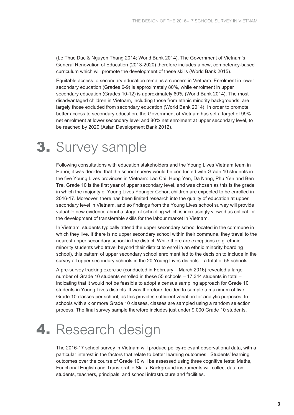(Le Thuc Duc & Nguyen Thang 2014; World Bank 2014). The Government of Vietnam's General Renovation of Education (2013-2020) therefore includes a new, competency-based curriculum which will promote the development of these skills (World Bank 2015).

Equitable access to secondary education remains a concern in Vietnam. Enrolment in lower secondary education (Grades 6-9) is approximately 80%, while enrolment in upper secondary education (Grades 10-12) is approximately 60% (World Bank 2014). The most disadvantaged children in Vietnam, including those from ethnic minority backgrounds, are largely those excluded from secondary education (World Bank 2014). In order to promote better access to secondary education, the Government of Vietnam has set a target of 99% net enrolment at lower secondary level and 80% net enrolment at upper secondary level, to be reached by 2020 (Asian Development Bank 2012).

## 3. Survey sample

Following consultations with education stakeholders and the Young Lives Vietnam team in Hanoi, it was decided that the school survey would be conducted with Grade 10 students in the five Young Lives provinces in Vietnam: Lao Cai, Hung Yen, Da Nang, Phu Yen and Ben Tre. Grade 10 is the first year of upper secondary level, and was chosen as this is the grade in which the majority of Young Lives Younger Cohort children are expected to be enrolled in 2016-17. Moreover, there has been limited research into the quality of education at upper secondary level in Vietnam, and so findings from the Young Lives school survey will provide valuable new evidence about a stage of schooling which is increasingly viewed as critical for the development of transferable skills for the labour market in Vietnam.

In Vietnam, students typically attend the upper secondary school located in the commune in which they live. If there is no upper secondary school within their commune, they travel to the nearest upper secondary school in the district. While there are exceptions (e.g. ethnic minority students who travel beyond their district to enrol in an ethnic minority boarding school), this pattern of upper secondary school enrolment led to the decision to include in the survey all upper secondary schools in the 20 Young Lives districts – a total of 55 schools.

A pre-survey tracking exercise (conducted in February – March 2016) revealed a large number of Grade 10 students enrolled in these 55 schools – 17,344 students in total – indicating that it would not be feasible to adopt a census sampling approach for Grade 10 students in Young Lives districts. It was therefore decided to sample a maximum of five Grade 10 classes per school, as this provides sufficient variation for analytic purposes. In schools with six or more Grade 10 classes, classes are sampled using a random selection process. The final survey sample therefore includes just under 9,000 Grade 10 students.

# 4. Research design

The 2016-17 school survey in Vietnam will produce policy-relevant observational data, with a particular interest in the factors that relate to better learning outcomes. Students' learning outcomes over the course of Grade 10 will be assessed using three cognitive tests: Maths, Functional English and Transferable Skills. Background instruments will collect data on students, teachers, principals, and school infrastructure and facilities.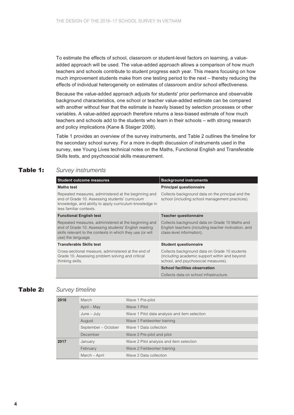To estimate the effects of school, classroom or student-level factors on learning, a valueadded approach will be used. The value-added approach allows a comparison of how much teachers and schools contribute to student progress each year. This means focusing on how much improvement students make from one testing period to the next – thereby reducing the effects of individual heterogeneity on estimates of classroom and/or school effectiveness.

Because the value-added approach adjusts for students' prior performance and observable background characteristics, one school or teacher value-added estimate can be compared with another without fear that the estimate is heavily biased by selection processes or other variables. A value-added approach therefore returns a less-biased estimate of how much teachers and schools add to the students who learn in their schools – with strong research and policy implications (Kane & Staiger 2008).

Table 1 provides an overview of the survey instruments, and Table 2 outlines the timeline for the secondary school survey. For a more in-depth discussion of instruments used in the survey, see Young Lives technical notes on the Maths, Functional English and Transferable Skills tests, and psychosocial skills measurement.

## Table 1: *Survey instruments*

| <b>Student outcome measures</b>                                                                                                                                                                  | <b>Background instruments</b>                                                                                                         |
|--------------------------------------------------------------------------------------------------------------------------------------------------------------------------------------------------|---------------------------------------------------------------------------------------------------------------------------------------|
| <b>Maths test</b>                                                                                                                                                                                | <b>Principal questionnaire</b>                                                                                                        |
| Repeated measures, administered at the beginning and<br>end of Grade 10. Assessing students' curriculum<br>knowledge, and ability to apply curriculum knowledge in<br>less familiar contexts.    | Collects background data on the principal and the<br>school (including school management practices).                                  |
| <b>Functional English test</b>                                                                                                                                                                   | <b>Teacher questionnaire</b>                                                                                                          |
| Repeated measures, administered at the beginning and<br>end of Grade 10. Assessing students' English reading<br>skills relevant to the contexts in which they use (or will<br>use) the language. | Collects background data on Grade 10 Maths and<br>English teachers (including teacher motivation, and<br>class-level information).    |
| <b>Transferable Skills test</b>                                                                                                                                                                  | <b>Student questionnaire</b>                                                                                                          |
| Cross-sectional measure, administered at the end of<br>Grade 10. Assessing problem solving and critical<br>thinking skills.                                                                      | Collects background data on Grade 10 students<br>(including academic support within and beyond<br>school, and psychosocial measures). |
|                                                                                                                                                                                                  | <b>School facilities observation</b>                                                                                                  |
|                                                                                                                                                                                                  | Collects data on school infrastructure.                                                                                               |

## Table 2: *Survey timeline*

| 2016 | March               | Wave 1 Pre-pilot                              |
|------|---------------------|-----------------------------------------------|
|      | April – May         | Wave 1 Pilot                                  |
|      | $June - July$       | Wave 1 Pilot data analysis and item selection |
|      | August              | Wave 1 Fieldworker training                   |
|      | September - October | Wave 1 Data collection                        |
|      | December            | Wave 2 Pre-pilot and pilot                    |
| 2017 | January             | Wave 2 Pilot analysis and item selection      |
|      | February            | Wave 2 Fieldworker training                   |
|      | March - April       | Wave 2 Data collection                        |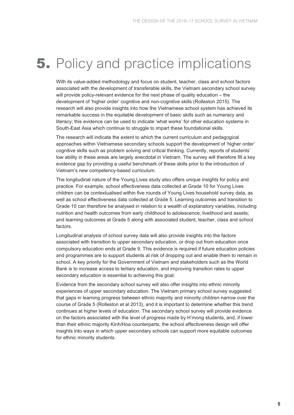## **5.** Policy and practice implications

With its value-added methodology and focus on student, teacher, class and school factors associated with the development of transferable skills, the Vietnam secondary school survey will provide policy-relevant evidence for the next phase of quality education – the development of 'higher order' cognitive and non-cognitive skills (Rolleston 2015). The research will also provide insights into how the Vietnamese school system has achieved its remarkable success in the equitable development of basic skills such as numeracy and literacy; this evidence can be used to indicate 'what works' for other education systems in South-East Asia which continue to struggle to impart these foundational skills.

The research will indicate the extent to which the current curriculum and pedagogical approaches within Vietnamese secondary schools support the development of 'higher order' cognitive skills such as problem solving and critical thinking. Currently, reports of students' low ability in these areas are largely anecdotal in Vietnam. The survey will therefore fill a key evidence gap by providing a useful benchmark of these skills prior to the introduction of Vietnam's new competency-based curriculum.

The longitudinal nature of the Young Lives study also offers unique insights for policy and practice. For example, school effectiveness data collected at Grade 10 for Young Lives children can be contextualised within five rounds of Young Lives household survey data, as well as school effectiveness data collected at Grade 5. Learning outcomes and transition to Grade 10 can therefore be analysed in relation to a wealth of explanatory variables, including nutrition and health outcomes from early childhood to adolescence; livelihood and assets; and learning outcomes at Grade 5 along with associated student, teacher, class and school factors.

Longitudinal analysis of school survey data will also provide insights into the factors associated with transition to upper secondary education, or drop out from education once compulsory education ends at Grade 9. This evidence is required if future education policies and programmes are to support students at risk of dropping out and enable them to remain in school. A key priority for the Government of Vietnam and stakeholders such as the World Bank is to increase access to tertiary education, and improving transition rates to upper secondary education is essential to achieving this goal.

Evidence from the secondary school survey will also offer insights into ethnic minority experiences of upper secondary education. The Vietnam primary school survey suggested that gaps in learning progress between ethnic majority and minority children narrow over the course of Grade 5 (Rolleston et al 2013), and it is important to determine whether this trend continues at higher levels of education. The secondary school survey will provide evidence on the factors associated with the level of progress made by H'mong students, and, if lower than their ethnic majority Kinh/Hoa counterparts, the school effectiveness design will offer insights into ways in which upper secondary schools can support more equitable outcomes for ethnic minority students.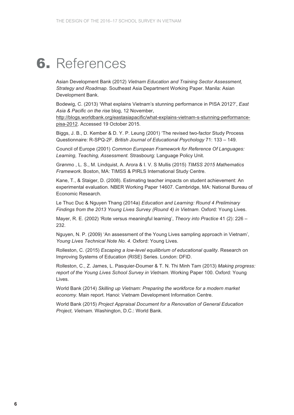# 6. References

Asian Development Bank (2012) *Vietnam Education and Training Sector Assessment, Strategy and Roadmap*. Southeast Asia Department Working Paper. Manila: Asian Development Bank.

Bodewig, C. (2013) 'What explains Vietnam's stunning performance in PISA 2012?', *East Asia & Pacific on the rise* blog, 12 November,

http://blogs.worldbank.org/eastasiapacific/what-explains-vietnam-s-stunning-performancepisa-2012. Accessed 19 October 2015.

Biggs, J. B., D. Kember & D. Y. P. Leung (2001) 'The revised two-factor Study Process Questionnaire: R-SPQ-2F. *British Journal of Educational Psychology* 71: 133 – 149.

Council of Europe (2001) *Common European Framework for Reference Of Languages: Learning, Teaching, Assessment.* Strasbourg: Language Policy Unit.

Grønmo , L. S., M. Lindquist, A. Arora & I. V. S Mullis (2015) *TIMSS 2015 Mathematics Framework*. Boston, MA: TIMSS & PIRLS International Study Centre.

Kane, T., & Staiger, D. (2008). Estimating teacher impacts on student achievement: An experimental evaluation. NBER Working Paper 14607. Cambridge, MA: National Bureau of Economic Research.

Le Thuc Duc & Nguyen Thang (2014a) *Education and Learning: Round 4 Preliminary Findings from the 2013 Young Lives Survey (Round 4) in Vietnam*. Oxford: Young Lives.

Mayer, R. E. (2002) 'Rote versus meaningful learning', *Theory into Practice* 41 (2): 226 – 232.

Nguyen, N. P. (2009) 'An assessment of the Young Lives sampling approach in Vietnam', *Young Lives Technical Note No. 4*. Oxford: Young Lives.

Rolleston, C. (2015) *Escaping a low-level equilibrium of educational quality*. Research on Improving Systems of Education (RISE) Series. London: DFID.

Rolleston, C., Z. James, L. Pasquier-Doumer & T. N. Thi Minh Tam (2013) *Making progress: report of the Young Lives School Survey in Vietnam*. Working Paper 100. Oxford: Young Lives.

World Bank (2014) *Skilling up Vietnam: Preparing the workforce for a modern market economy.* Main report. Hanoi: Vietnam Development Information Centre.

World Bank (2015) *Project Appraisal Document for a Renovation of General Education Project, Vietnam.* Washington, D.C.: World Bank.